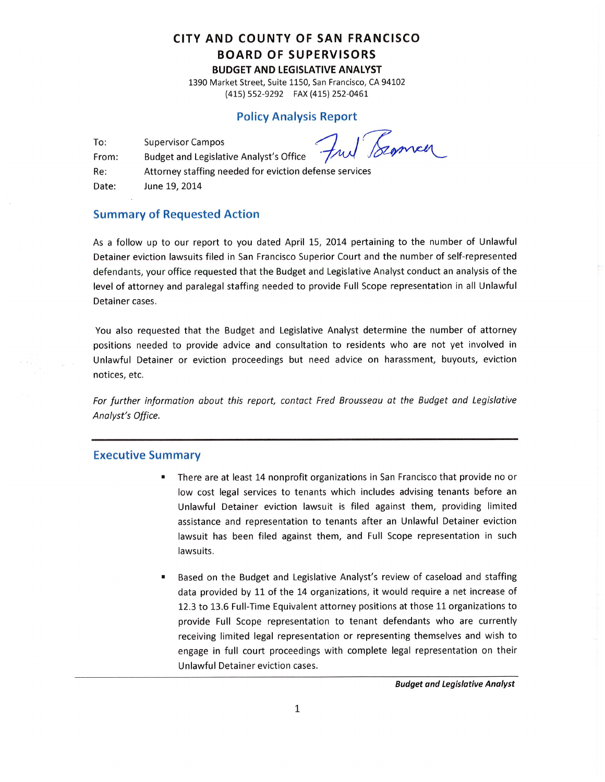## CITY AND COUNTY OF SAN FRANCISCO **BOARD OF SUPERVISORS BUDGET AND LEGISLATIVE ANALYST**

1390 Market Street, Suite 1150, San Francisco, CA 94102 (415) 552-9292 FAX (415) 252-0461

#### **Policy Analysis Report**

To: **Supervisor Campos** 

Bromen

**Budget and Legislative Analyst's Office** From:

Attorney staffing needed for eviction defense services Re: June 19, 2014 Date:

### **Summary of Requested Action**

As a follow up to our report to you dated April 15, 2014 pertaining to the number of Unlawful Detainer eviction lawsuits filed in San Francisco Superior Court and the number of self-represented defendants, your office requested that the Budget and Legislative Analyst conduct an analysis of the level of attorney and paralegal staffing needed to provide Full Scope representation in all Unlawful Detainer cases.

You also requested that the Budget and Legislative Analyst determine the number of attorney positions needed to provide advice and consultation to residents who are not yet involved in Unlawful Detainer or eviction proceedings but need advice on harassment, buyouts, eviction notices, etc.

For further information about this report, contact Fred Brousseau at the Budget and Legislative Analyst's Office.

#### **Executive Summary**

- There are at least 14 nonprofit organizations in San Francisco that provide no or low cost legal services to tenants which includes advising tenants before an Unlawful Detainer eviction lawsuit is filed against them, providing limited assistance and representation to tenants after an Unlawful Detainer eviction lawsuit has been filed against them, and Full Scope representation in such lawsuits.
- Based on the Budget and Legislative Analyst's review of caseload and staffing data provided by 11 of the 14 organizations, it would require a net increase of 12.3 to 13.6 Full-Time Equivalent attorney positions at those 11 organizations to provide Full Scope representation to tenant defendants who are currently receiving limited legal representation or representing themselves and wish to engage in full court proceedings with complete legal representation on their Unlawful Detainer eviction cases.

**Budget and Legislative Analyst**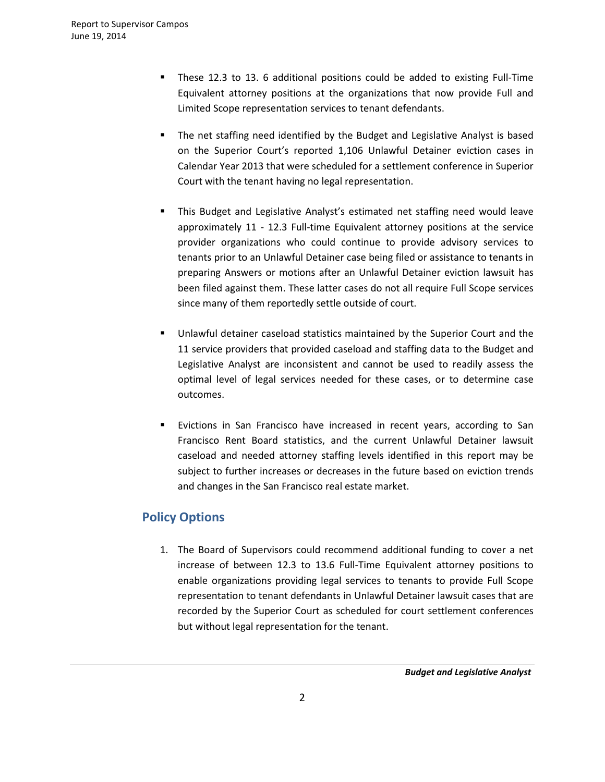- These 12.3 to 13. 6 additional positions could be added to existing Full-Time Equivalent attorney positions at the organizations that now provide Full and Limited Scope representation services to tenant defendants.
- The net staffing need identified by the Budget and Legislative Analyst is based on the Superior Court's reported 1,106 Unlawful Detainer eviction cases in Calendar Year 2013 that were scheduled for a settlement conference in Superior Court with the tenant having no legal representation.
- This Budget and Legislative Analyst's estimated net staffing need would leave approximately 11 - 12.3 Full-time Equivalent attorney positions at the service provider organizations who could continue to provide advisory services to tenants prior to an Unlawful Detainer case being filed or assistance to tenants in preparing Answers or motions after an Unlawful Detainer eviction lawsuit has been filed against them. These latter cases do not all require Full Scope services since many of them reportedly settle outside of court.
- Unlawful detainer caseload statistics maintained by the Superior Court and the 11 service providers that provided caseload and staffing data to the Budget and Legislative Analyst are inconsistent and cannot be used to readily assess the optimal level of legal services needed for these cases, or to determine case outcomes.
- Evictions in San Francisco have increased in recent years, according to San Francisco Rent Board statistics, and the current Unlawful Detainer lawsuit caseload and needed attorney staffing levels identified in this report may be subject to further increases or decreases in the future based on eviction trends and changes in the San Francisco real estate market.

# **Policy Options**

1. The Board of Supervisors could recommend additional funding to cover a net increase of between 12.3 to 13.6 Full-Time Equivalent attorney positions to enable organizations providing legal services to tenants to provide Full Scope representation to tenant defendants in Unlawful Detainer lawsuit cases that are recorded by the Superior Court as scheduled for court settlement conferences but without legal representation for the tenant.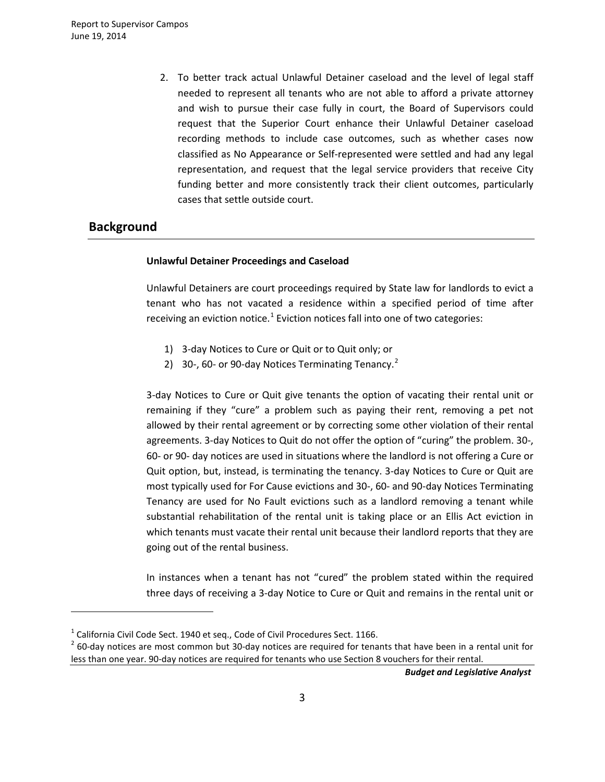2. To better track actual Unlawful Detainer caseload and the level of legal staff needed to represent all tenants who are not able to afford a private attorney and wish to pursue their case fully in court, the Board of Supervisors could request that the Superior Court enhance their Unlawful Detainer caseload recording methods to include case outcomes, such as whether cases now classified as No Appearance or Self-represented were settled and had any legal representation, and request that the legal service providers that receive City funding better and more consistently track their client outcomes, particularly cases that settle outside court.

## **Background**

 $\overline{a}$ 

#### **Unlawful Detainer Proceedings and Caseload**

Unlawful Detainers are court proceedings required by State law for landlords to evict a tenant who has not vacated a residence within a specified period of time after receiving an eviction notice.<sup>[1](#page-2-0)</sup> Eviction notices fall into one of two categories:

- 1) 3-day Notices to Cure or Quit or to Quit only; or
- [2](#page-2-1)) 30-, 60- or 90-day Notices Terminating Tenancy. $2$

3-day Notices to Cure or Quit give tenants the option of vacating their rental unit or remaining if they "cure" a problem such as paying their rent, removing a pet not allowed by their rental agreement or by correcting some other violation of their rental agreements. 3-day Notices to Quit do not offer the option of "curing" the problem. 30-, 60- or 90- day notices are used in situations where the landlord is not offering a Cure or Quit option, but, instead, is terminating the tenancy. 3-day Notices to Cure or Quit are most typically used for For Cause evictions and 30-, 60- and 90-day Notices Terminating Tenancy are used for No Fault evictions such as a landlord removing a tenant while substantial rehabilitation of the rental unit is taking place or an Ellis Act eviction in which tenants must vacate their rental unit because their landlord reports that they are going out of the rental business.

In instances when a tenant has not "cured" the problem stated within the required three days of receiving a 3-day Notice to Cure or Quit and remains in the rental unit or

<span id="page-2-0"></span> $1$  California Civil Code Sect. 1940 et seq., Code of Civil Procedures Sect. 1166.

<span id="page-2-1"></span> $2$  60-day notices are most common but 30-day notices are required for tenants that have been in a rental unit for less than one year. 90-day notices are required for tenants who use Section 8 vouchers for their rental.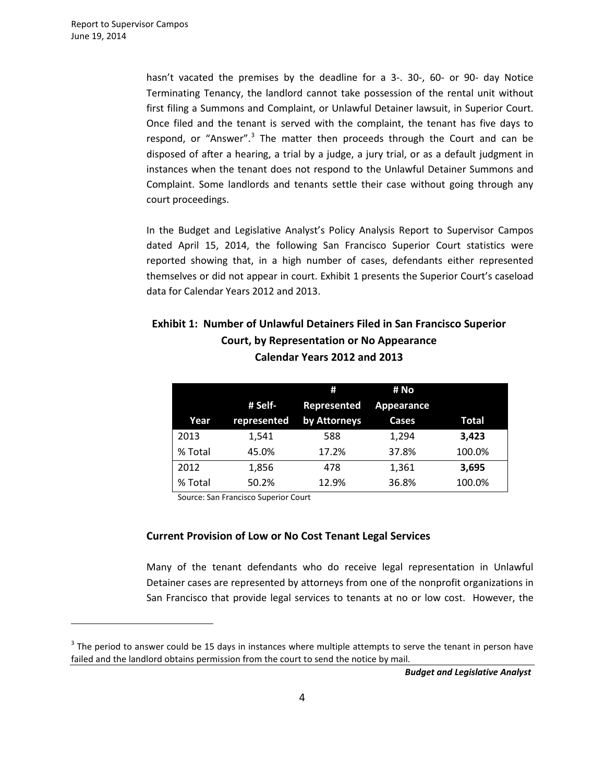$\overline{a}$ 

hasn't vacated the premises by the deadline for a 3-. 30-, 60- or 90- day Notice Terminating Tenancy, the landlord cannot take possession of the rental unit without first filing a Summons and Complaint, or Unlawful Detainer lawsuit, in Superior Court. Once filed and the tenant is served with the complaint, the tenant has five days to respond, or "Answer".<sup>[3](#page-3-0)</sup> The matter then proceeds through the Court and can be disposed of after a hearing, a trial by a judge, a jury trial, or as a default judgment in instances when the tenant does not respond to the Unlawful Detainer Summons and Complaint. Some landlords and tenants settle their case without going through any court proceedings.

In the Budget and Legislative Analyst's Policy Analysis Report to Supervisor Campos dated April 15, 2014, the following San Francisco Superior Court statistics were reported showing that, in a high number of cases, defendants either represented themselves or did not appear in court. Exhibit 1 presents the Superior Court's caseload data for Calendar Years 2012 and 2013.

# **Exhibit 1: Number of Unlawful Detainers Filed in San Francisco Superior Court, by Representation or No Appearance Calendar Years 2012 and 2013**

|         |             | Ħ            | # No       |        |
|---------|-------------|--------------|------------|--------|
|         | # Self-     | Represented  | Appearance |        |
| Year    | represented | by Attorneys | Cases      | Total  |
| 2013    | 1,541       | 588          | 1,294      | 3,423  |
| % Total | 45.0%       | 17.2%        | 37.8%      | 100.0% |
| 2012    | 1,856       | 478          | 1,361      | 3.695  |
| % Total | 50.2%       | 12.9%        | 36.8%      | 100.0% |

Source: San Francisco Superior Court

### **Current Provision of Low or No Cost Tenant Legal Services**

Many of the tenant defendants who do receive legal representation in Unlawful Detainer cases are represented by attorneys from one of the nonprofit organizations in San Francisco that provide legal services to tenants at no or low cost. However, the

<span id="page-3-0"></span> $3$  The period to answer could be 15 days in instances where multiple attempts to serve the tenant in person have failed and the landlord obtains permission from the court to send the notice by mail.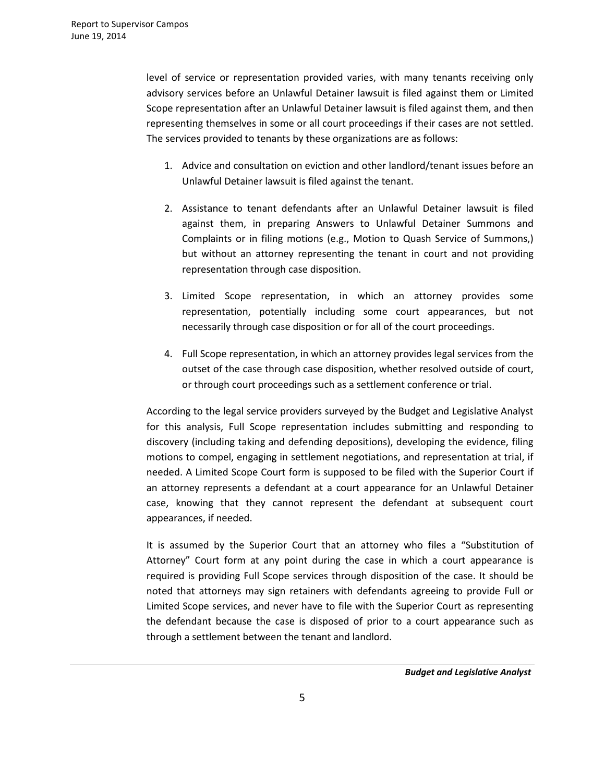level of service or representation provided varies, with many tenants receiving only advisory services before an Unlawful Detainer lawsuit is filed against them or Limited Scope representation after an Unlawful Detainer lawsuit is filed against them, and then representing themselves in some or all court proceedings if their cases are not settled. The services provided to tenants by these organizations are as follows:

- 1. Advice and consultation on eviction and other landlord/tenant issues before an Unlawful Detainer lawsuit is filed against the tenant.
- 2. Assistance to tenant defendants after an Unlawful Detainer lawsuit is filed against them, in preparing Answers to Unlawful Detainer Summons and Complaints or in filing motions (e.g., Motion to Quash Service of Summons,) but without an attorney representing the tenant in court and not providing representation through case disposition.
- 3. Limited Scope representation, in which an attorney provides some representation, potentially including some court appearances, but not necessarily through case disposition or for all of the court proceedings.
- 4. Full Scope representation, in which an attorney provides legal services from the outset of the case through case disposition, whether resolved outside of court, or through court proceedings such as a settlement conference or trial.

According to the legal service providers surveyed by the Budget and Legislative Analyst for this analysis, Full Scope representation includes submitting and responding to discovery (including taking and defending depositions), developing the evidence, filing motions to compel, engaging in settlement negotiations, and representation at trial, if needed. A Limited Scope Court form is supposed to be filed with the Superior Court if an attorney represents a defendant at a court appearance for an Unlawful Detainer case, knowing that they cannot represent the defendant at subsequent court appearances, if needed.

It is assumed by the Superior Court that an attorney who files a "Substitution of Attorney" Court form at any point during the case in which a court appearance is required is providing Full Scope services through disposition of the case. It should be noted that attorneys may sign retainers with defendants agreeing to provide Full or Limited Scope services, and never have to file with the Superior Court as representing the defendant because the case is disposed of prior to a court appearance such as through a settlement between the tenant and landlord.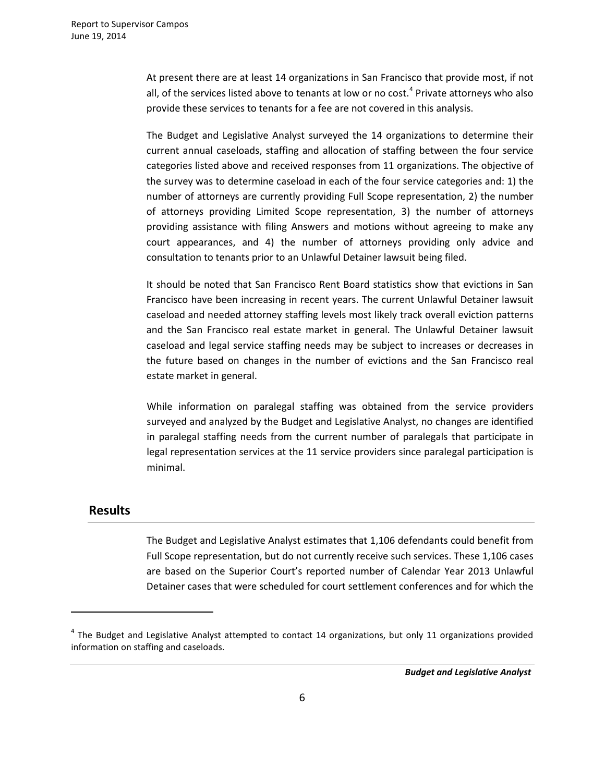At present there are at least 14 organizations in San Francisco that provide most, if not all, of the services listed above to tenants at low or no cost.<sup>[4](#page-5-0)</sup> Private attorneys who also provide these services to tenants for a fee are not covered in this analysis.

The Budget and Legislative Analyst surveyed the 14 organizations to determine their current annual caseloads, staffing and allocation of staffing between the four service categories listed above and received responses from 11 organizations. The objective of the survey was to determine caseload in each of the four service categories and: 1) the number of attorneys are currently providing Full Scope representation, 2) the number of attorneys providing Limited Scope representation, 3) the number of attorneys providing assistance with filing Answers and motions without agreeing to make any court appearances, and 4) the number of attorneys providing only advice and consultation to tenants prior to an Unlawful Detainer lawsuit being filed.

It should be noted that San Francisco Rent Board statistics show that evictions in San Francisco have been increasing in recent years. The current Unlawful Detainer lawsuit caseload and needed attorney staffing levels most likely track overall eviction patterns and the San Francisco real estate market in general. The Unlawful Detainer lawsuit caseload and legal service staffing needs may be subject to increases or decreases in the future based on changes in the number of evictions and the San Francisco real estate market in general.

While information on paralegal staffing was obtained from the service providers surveyed and analyzed by the Budget and Legislative Analyst, no changes are identified in paralegal staffing needs from the current number of paralegals that participate in legal representation services at the 11 service providers since paralegal participation is minimal.

### **Results**

 $\overline{a}$ 

The Budget and Legislative Analyst estimates that 1,106 defendants could benefit from Full Scope representation, but do not currently receive such services. These 1,106 cases are based on the Superior Court's reported number of Calendar Year 2013 Unlawful Detainer cases that were scheduled for court settlement conferences and for which the

<span id="page-5-0"></span> $4$  The Budget and Legislative Analyst attempted to contact 14 organizations, but only 11 organizations provided information on staffing and caseloads.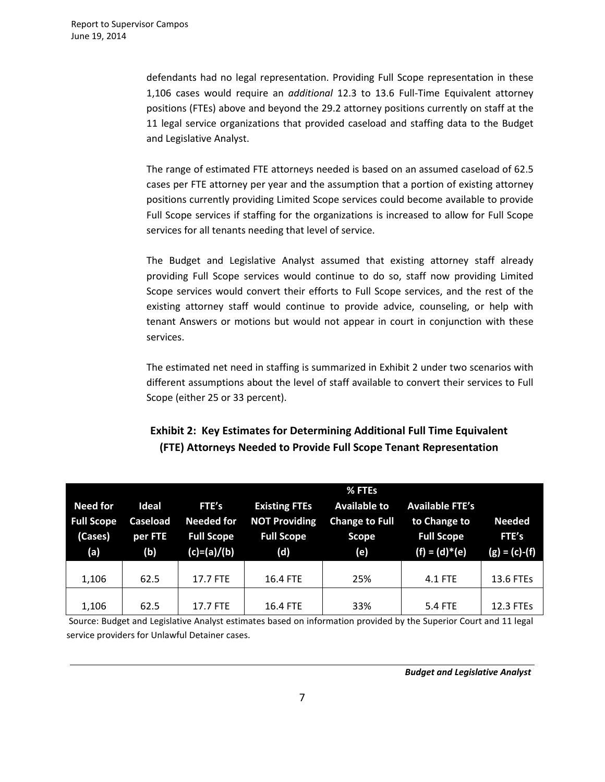defendants had no legal representation. Providing Full Scope representation in these 1,106 cases would require an *additional* 12.3 to 13.6 Full-Time Equivalent attorney positions (FTEs) above and beyond the 29.2 attorney positions currently on staff at the 11 legal service organizations that provided caseload and staffing data to the Budget and Legislative Analyst.

The range of estimated FTE attorneys needed is based on an assumed caseload of 62.5 cases per FTE attorney per year and the assumption that a portion of existing attorney positions currently providing Limited Scope services could become available to provide Full Scope services if staffing for the organizations is increased to allow for Full Scope services for all tenants needing that level of service.

The Budget and Legislative Analyst assumed that existing attorney staff already providing Full Scope services would continue to do so, staff now providing Limited Scope services would convert their efforts to Full Scope services, and the rest of the existing attorney staff would continue to provide advice, counseling, or help with tenant Answers or motions but would not appear in court in conjunction with these services.

The estimated net need in staffing is summarized in Exhibit 2 under two scenarios with different assumptions about the level of staff available to convert their services to Full Scope (either 25 or 33 percent).

# **Exhibit 2: Key Estimates for Determining Additional Full Time Equivalent (FTE) Attorneys Needed to Provide Full Scope Tenant Representation**

| <b>Need for</b><br><b>Full Scope</b><br>(Cases)<br>(a) | Ideal<br><b>Caseload</b><br>per FTE<br>(b) | FTE's<br><b>Needed for</b><br><b>Full Scope</b><br>(c)=(a)/(b) | <b>Existing FTEs</b><br><b>NOT Providing</b><br><b>Full Scope</b><br>(d) | % FTEs<br><b>Available to</b><br><b>Change to Full</b><br><b>Scope</b><br>(e) | <b>Available FTE's</b><br>to Change to<br><b>Full Scope</b><br>$(f) = (d)^*(e)$ | <b>Needed</b><br>FTE's<br>$(g) = (c)-(f)$ |
|--------------------------------------------------------|--------------------------------------------|----------------------------------------------------------------|--------------------------------------------------------------------------|-------------------------------------------------------------------------------|---------------------------------------------------------------------------------|-------------------------------------------|
| 1,106                                                  | 62.5                                       | 17.7 FTE                                                       | 16.4 FTE                                                                 | 25%                                                                           | 4.1 FTE                                                                         | 13.6 FTEs                                 |
| 1,106                                                  | 62.5                                       | 17.7 FTE                                                       | 16.4 FTE                                                                 | 33%                                                                           | 5.4 FTE                                                                         | 12.3 FTEs                                 |

Source: Budget and Legislative Analyst estimates based on information provided by the Superior Court and 11 legal service providers for Unlawful Detainer cases.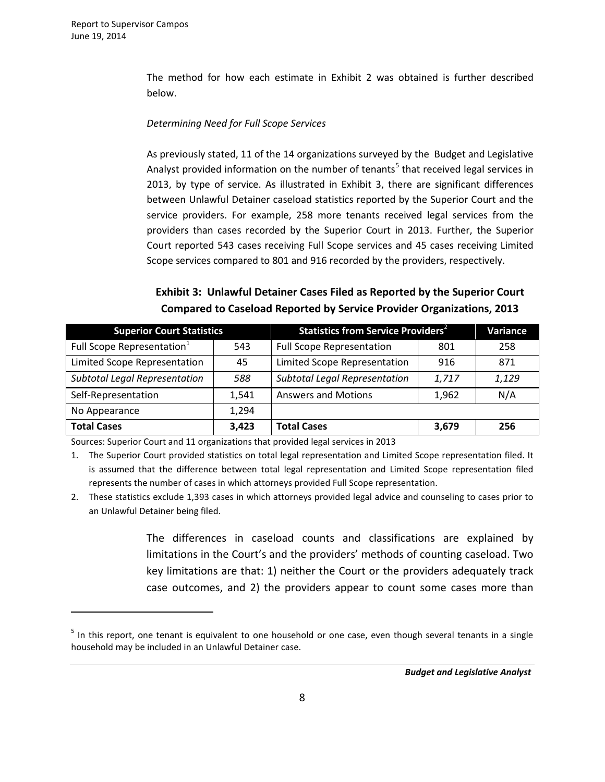$\overline{a}$ 

The method for how each estimate in Exhibit 2 was obtained is further described below.

#### *Determining Need for Full Scope Services*

As previously stated, 11 of the 14 organizations surveyed by the Budget and Legislative Analyst provided information on the number of tenants<sup>[5](#page-7-0)</sup> that received legal services in 2013, by type of service. As illustrated in Exhibit 3, there are significant differences between Unlawful Detainer caseload statistics reported by the Superior Court and the service providers. For example, 258 more tenants received legal services from the providers than cases recorded by the Superior Court in 2013. Further, the Superior Court reported 543 cases receiving Full Scope services and 45 cases receiving Limited Scope services compared to 801 and 916 recorded by the providers, respectively.

## **Exhibit 3: Unlawful Detainer Cases Filed as Reported by the Superior Court Compared to Caseload Reported by Service Provider Organizations, 2013**

| <b>Superior Court Statistics</b>       |       | Statistics from Service Providers <sup>2</sup> | <b>Variance</b> |       |
|----------------------------------------|-------|------------------------------------------------|-----------------|-------|
| Full Scope Representation <sup>1</sup> | 543   | <b>Full Scope Representation</b>               | 801             | 258   |
| Limited Scope Representation           | 45    | Limited Scope Representation                   | 916             | 871   |
| <b>Subtotal Legal Representation</b>   | 588   | <b>Subtotal Legal Representation</b>           | 1,717           | 1,129 |
| Self-Representation                    | 1,541 | <b>Answers and Motions</b>                     | 1,962           | N/A   |
| No Appearance                          | 1,294 |                                                |                 |       |
| <b>Total Cases</b>                     | 3,423 | <b>Total Cases</b>                             | 3,679           | 256   |

Sources: Superior Court and 11 organizations that provided legal services in 2013

1. The Superior Court provided statistics on total legal representation and Limited Scope representation filed. It is assumed that the difference between total legal representation and Limited Scope representation filed represents the number of cases in which attorneys provided Full Scope representation.

2. These statistics exclude 1,393 cases in which attorneys provided legal advice and counseling to cases prior to an Unlawful Detainer being filed.

> The differences in caseload counts and classifications are explained by limitations in the Court's and the providers' methods of counting caseload. Two key limitations are that: 1) neither the Court or the providers adequately track case outcomes, and 2) the providers appear to count some cases more than

<span id="page-7-0"></span><sup>&</sup>lt;sup>5</sup> In this report, one tenant is equivalent to one household or one case, even though several tenants in a single household may be included in an Unlawful Detainer case.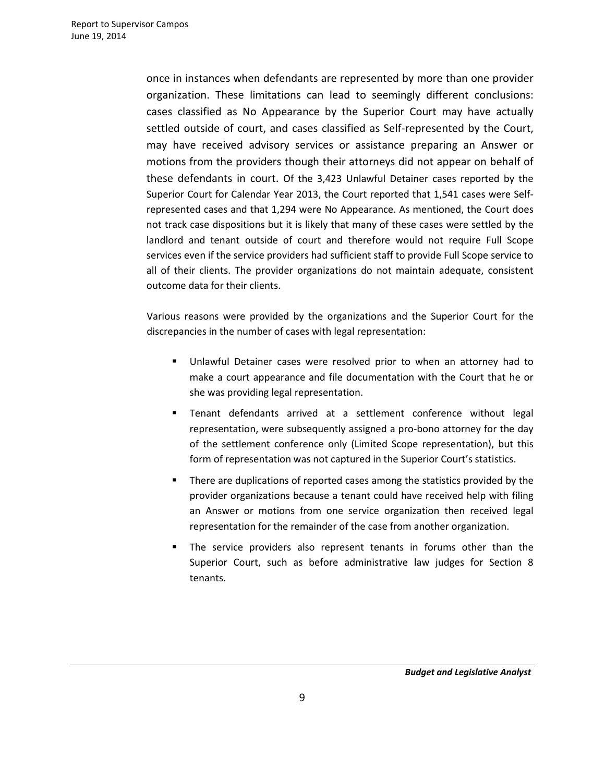once in instances when defendants are represented by more than one provider organization. These limitations can lead to seemingly different conclusions: cases classified as No Appearance by the Superior Court may have actually settled outside of court, and cases classified as Self-represented by the Court, may have received advisory services or assistance preparing an Answer or motions from the providers though their attorneys did not appear on behalf of these defendants in court. Of the 3,423 Unlawful Detainer cases reported by the Superior Court for Calendar Year 2013, the Court reported that 1,541 cases were Selfrepresented cases and that 1,294 were No Appearance. As mentioned, the Court does not track case dispositions but it is likely that many of these cases were settled by the landlord and tenant outside of court and therefore would not require Full Scope services even if the service providers had sufficient staff to provide Full Scope service to all of their clients. The provider organizations do not maintain adequate, consistent outcome data for their clients.

Various reasons were provided by the organizations and the Superior Court for the discrepancies in the number of cases with legal representation:

- Unlawful Detainer cases were resolved prior to when an attorney had to make a court appearance and file documentation with the Court that he or she was providing legal representation.
- Tenant defendants arrived at a settlement conference without legal representation, were subsequently assigned a pro-bono attorney for the day of the settlement conference only (Limited Scope representation), but this form of representation was not captured in the Superior Court's statistics.
- **There are duplications of reported cases among the statistics provided by the** provider organizations because a tenant could have received help with filing an Answer or motions from one service organization then received legal representation for the remainder of the case from another organization.
- The service providers also represent tenants in forums other than the Superior Court, such as before administrative law judges for Section 8 tenants.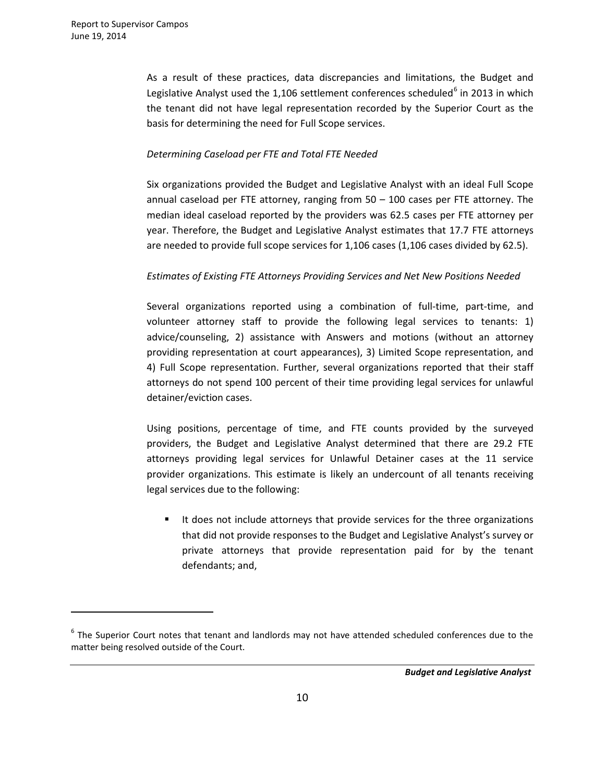$\overline{a}$ 

As a result of these practices, data discrepancies and limitations, the Budget and Legislative Analyst used the  $1,106$  $1,106$  settlement conferences scheduled<sup>6</sup> in 2013 in which the tenant did not have legal representation recorded by the Superior Court as the basis for determining the need for Full Scope services.

#### *Determining Caseload per FTE and Total FTE Needed*

Six organizations provided the Budget and Legislative Analyst with an ideal Full Scope annual caseload per FTE attorney, ranging from 50 – 100 cases per FTE attorney. The median ideal caseload reported by the providers was 62.5 cases per FTE attorney per year. Therefore, the Budget and Legislative Analyst estimates that 17.7 FTE attorneys are needed to provide full scope services for 1,106 cases (1,106 cases divided by 62.5).

### *Estimates of Existing FTE Attorneys Providing Services and Net New Positions Needed*

Several organizations reported using a combination of full-time, part-time, and volunteer attorney staff to provide the following legal services to tenants: 1) advice/counseling, 2) assistance with Answers and motions (without an attorney providing representation at court appearances), 3) Limited Scope representation, and 4) Full Scope representation. Further, several organizations reported that their staff attorneys do not spend 100 percent of their time providing legal services for unlawful detainer/eviction cases.

Using positions, percentage of time, and FTE counts provided by the surveyed providers, the Budget and Legislative Analyst determined that there are 29.2 FTE attorneys providing legal services for Unlawful Detainer cases at the 11 service provider organizations. This estimate is likely an undercount of all tenants receiving legal services due to the following:

 It does not include attorneys that provide services for the three organizations that did not provide responses to the Budget and Legislative Analyst's survey or private attorneys that provide representation paid for by the tenant defendants; and,

<span id="page-9-0"></span> $6$  The Superior Court notes that tenant and landlords may not have attended scheduled conferences due to the matter being resolved outside of the Court.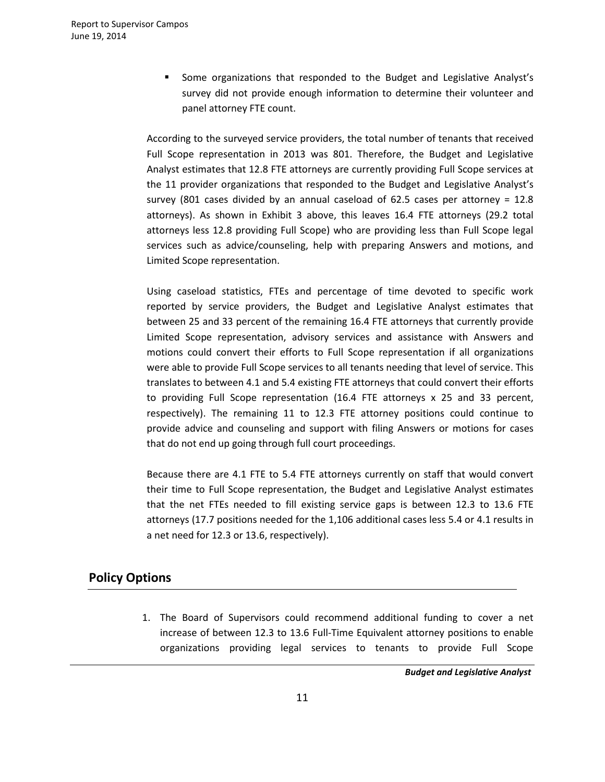Some organizations that responded to the Budget and Legislative Analyst's survey did not provide enough information to determine their volunteer and panel attorney FTE count.

According to the surveyed service providers, the total number of tenants that received Full Scope representation in 2013 was 801. Therefore, the Budget and Legislative Analyst estimates that 12.8 FTE attorneys are currently providing Full Scope services at the 11 provider organizations that responded to the Budget and Legislative Analyst's survey (801 cases divided by an annual caseload of 62.5 cases per attorney = 12.8 attorneys). As shown in Exhibit 3 above, this leaves 16.4 FTE attorneys (29.2 total attorneys less 12.8 providing Full Scope) who are providing less than Full Scope legal services such as advice/counseling, help with preparing Answers and motions, and Limited Scope representation.

Using caseload statistics, FTEs and percentage of time devoted to specific work reported by service providers, the Budget and Legislative Analyst estimates that between 25 and 33 percent of the remaining 16.4 FTE attorneys that currently provide Limited Scope representation, advisory services and assistance with Answers and motions could convert their efforts to Full Scope representation if all organizations were able to provide Full Scope services to all tenants needing that level of service. This translates to between 4.1 and 5.4 existing FTE attorneys that could convert their efforts to providing Full Scope representation (16.4 FTE attorneys x 25 and 33 percent, respectively). The remaining 11 to 12.3 FTE attorney positions could continue to provide advice and counseling and support with filing Answers or motions for cases that do not end up going through full court proceedings.

Because there are 4.1 FTE to 5.4 FTE attorneys currently on staff that would convert their time to Full Scope representation, the Budget and Legislative Analyst estimates that the net FTEs needed to fill existing service gaps is between 12.3 to 13.6 FTE attorneys (17.7 positions needed for the 1,106 additional cases less 5.4 or 4.1 results in a net need for 12.3 or 13.6, respectively).

# **Policy Options**

1. The Board of Supervisors could recommend additional funding to cover a net increase of between 12.3 to 13.6 Full-Time Equivalent attorney positions to enable organizations providing legal services to tenants to provide Full Scope